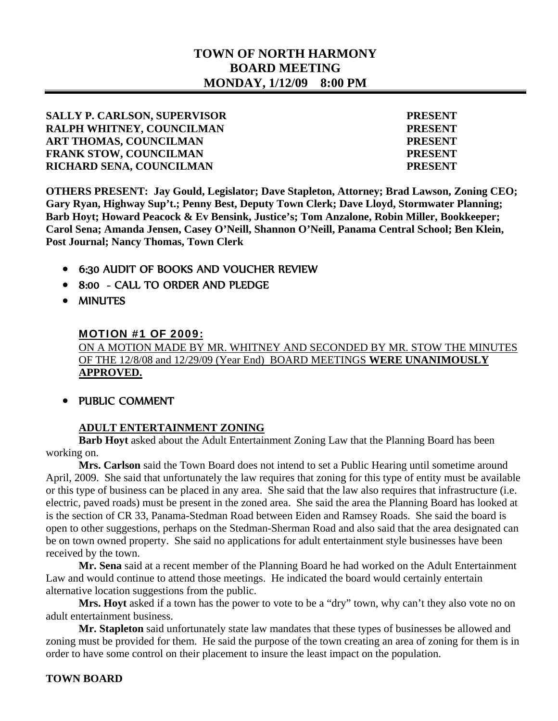# **TOWN OF NORTH HARMONY BOARD MEETING MONDAY, 1/12/09 8:00 PM**

**SALLY P. CARLSON, SUPERVISOR PRESENT RALPH WHITNEY, COUNCILMAN PRESENT ART THOMAS, COUNCILMAN PRESENT FRANK STOW, COUNCILMAN PRESENT RICHARD SENA, COUNCILMAN PRESENT** 

**OTHERS PRESENT: Jay Gould, Legislator; Dave Stapleton, Attorney; Brad Lawson, Zoning CEO; Gary Ryan, Highway Sup't.; Penny Best, Deputy Town Clerk; Dave Lloyd, Stormwater Planning; Barb Hoyt; Howard Peacock & Ev Bensink, Justice's; Tom Anzalone, Robin Miller, Bookkeeper; Carol Sena; Amanda Jensen, Casey O'Neill, Shannon O'Neill, Panama Central School; Ben Klein, Post Journal; Nancy Thomas, Town Clerk** 

- 6:30 AUDIT OF BOOKS AND VOUCHER REVIEW
- 8:00 CALL TO ORDER AND PLEDGE
- MINUTES

#### MOTION #1 OF 2009:

ON A MOTION MADE BY MR. WHITNEY AND SECONDED BY MR. STOW THE MINUTES OF THE 12/8/08 and 12/29/09 (Year End) BOARD MEETINGS **WERE UNANIMOUSLY APPROVED.**

• PUBLIC COMMENT

#### **ADULT ENTERTAINMENT ZONING**

 **Barb Hoyt** asked about the Adult Entertainment Zoning Law that the Planning Board has been working on.

**Mrs. Carlson** said the Town Board does not intend to set a Public Hearing until sometime around April, 2009. She said that unfortunately the law requires that zoning for this type of entity must be available or this type of business can be placed in any area. She said that the law also requires that infrastructure (i.e. electric, paved roads) must be present in the zoned area. She said the area the Planning Board has looked at is the section of CR 33, Panama-Stedman Road between Eiden and Ramsey Roads. She said the board is open to other suggestions, perhaps on the Stedman-Sherman Road and also said that the area designated can be on town owned property. She said no applications for adult entertainment style businesses have been received by the town.

**Mr. Sena** said at a recent member of the Planning Board he had worked on the Adult Entertainment Law and would continue to attend those meetings. He indicated the board would certainly entertain alternative location suggestions from the public.

Mrs. Hoyt asked if a town has the power to vote to be a "dry" town, why can't they also vote no on adult entertainment business.

**Mr. Stapleton** said unfortunately state law mandates that these types of businesses be allowed and zoning must be provided for them. He said the purpose of the town creating an area of zoning for them is in order to have some control on their placement to insure the least impact on the population.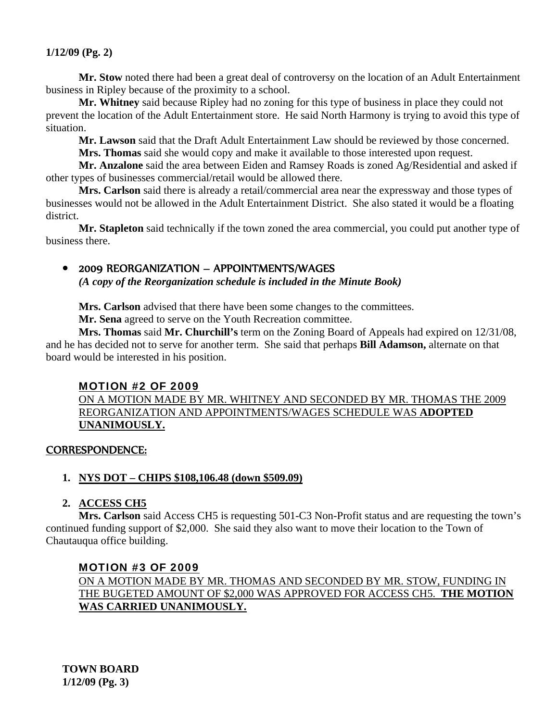#### **1/12/09 (Pg. 2)**

 **Mr. Stow** noted there had been a great deal of controversy on the location of an Adult Entertainment business in Ripley because of the proximity to a school.

**Mr. Whitney** said because Ripley had no zoning for this type of business in place they could not prevent the location of the Adult Entertainment store. He said North Harmony is trying to avoid this type of situation.

**Mr. Lawson** said that the Draft Adult Entertainment Law should be reviewed by those concerned.

**Mrs. Thomas** said she would copy and make it available to those interested upon request.

**Mr. Anzalone** said the area between Eiden and Ramsey Roads is zoned Ag/Residential and asked if other types of businesses commercial/retail would be allowed there.

**Mrs. Carlson** said there is already a retail/commercial area near the expressway and those types of businesses would not be allowed in the Adult Entertainment District. She also stated it would be a floating district.

**Mr. Stapleton** said technically if the town zoned the area commercial, you could put another type of business there.

## 2009 REORGANIZATION – APPOINTMENTS/WAGES

 *(A copy of the Reorganization schedule is included in the Minute Book)*

**Mrs. Carlson** advised that there have been some changes to the committees.

**Mr. Sena** agreed to serve on the Youth Recreation committee.

**Mrs. Thomas** said **Mr. Churchill's** term on the Zoning Board of Appeals had expired on 12/31/08, and he has decided not to serve for another term. She said that perhaps **Bill Adamson,** alternate on that board would be interested in his position.

## MOTION #2 OF 2009

 ON A MOTION MADE BY MR. WHITNEY AND SECONDED BY MR. THOMAS THE 2009 REORGANIZATION AND APPOINTMENTS/WAGES SCHEDULE WAS **ADOPTED UNANIMOUSLY.**

#### CORRESPONDENCE:

#### **1. NYS DOT – CHIPS \$108,106.48 (down \$509.09)**

## **2. ACCESS CH5**

 **Mrs. Carlson** said Access CH5 is requesting 501-C3 Non-Profit status and are requesting the town's continued funding support of \$2,000. She said they also want to move their location to the Town of Chautauqua office building.

## MOTION #3 OF 2009

ON A MOTION MADE BY MR. THOMAS AND SECONDED BY MR. STOW, FUNDING IN THE BUGETED AMOUNT OF \$2,000 WAS APPROVED FOR ACCESS CH5. **THE MOTION WAS CARRIED UNANIMOUSLY.**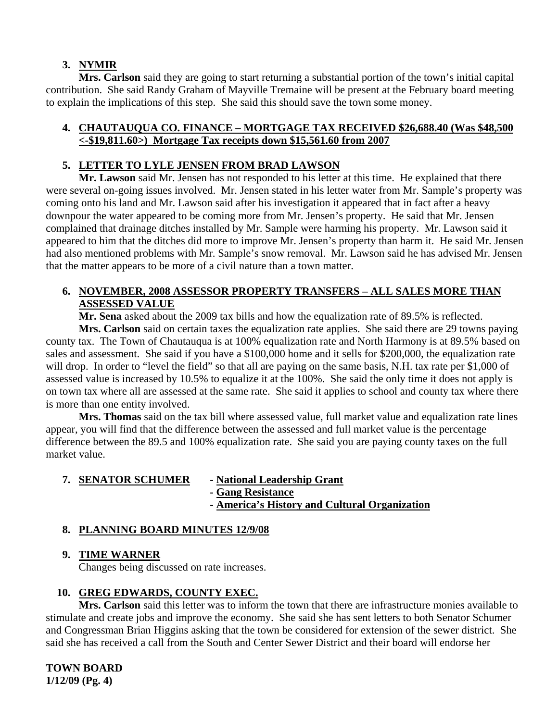## **3. NYMIR**

 **Mrs. Carlson** said they are going to start returning a substantial portion of the town's initial capital contribution. She said Randy Graham of Mayville Tremaine will be present at the February board meeting to explain the implications of this step. She said this should save the town some money.

## **4. CHAUTAUQUA CO. FINANCE – MORTGAGE TAX RECEIVED \$26,688.40 (Was \$48,500 <-\$19,811.60>) Mortgage Tax receipts down \$15,561.60 from 2007**

## **5. LETTER TO LYLE JENSEN FROM BRAD LAWSON**

 **Mr. Lawson** said Mr. Jensen has not responded to his letter at this time. He explained that there were several on-going issues involved. Mr. Jensen stated in his letter water from Mr. Sample's property was coming onto his land and Mr. Lawson said after his investigation it appeared that in fact after a heavy downpour the water appeared to be coming more from Mr. Jensen's property. He said that Mr. Jensen complained that drainage ditches installed by Mr. Sample were harming his property. Mr. Lawson said it appeared to him that the ditches did more to improve Mr. Jensen's property than harm it. He said Mr. Jensen had also mentioned problems with Mr. Sample's snow removal. Mr. Lawson said he has advised Mr. Jensen that the matter appears to be more of a civil nature than a town matter.

## **6. NOVEMBER, 2008 ASSESSOR PROPERTY TRANSFERS – ALL SALES MORE THAN ASSESSED VALUE**

 **Mr. Sena** asked about the 2009 tax bills and how the equalization rate of 89.5% is reflected.

**Mrs. Carlson** said on certain taxes the equalization rate applies. She said there are 29 towns paying county tax. The Town of Chautauqua is at 100% equalization rate and North Harmony is at 89.5% based on sales and assessment. She said if you have a \$100,000 home and it sells for \$200,000, the equalization rate will drop. In order to "level the field" so that all are paying on the same basis, N.H. tax rate per \$1,000 of assessed value is increased by 10.5% to equalize it at the 100%. She said the only time it does not apply is on town tax where all are assessed at the same rate. She said it applies to school and county tax where there is more than one entity involved.

**Mrs. Thomas** said on the tax bill where assessed value, full market value and equalization rate lines appear, you will find that the difference between the assessed and full market value is the percentage difference between the 89.5 and 100% equalization rate. She said you are paying county taxes on the full market value.

# **7. SENATOR SCHUMER - National Leadership Grant**

- **Gang Resistance**
- **America's History and Cultural Organization**

# **8. PLANNING BOARD MINUTES 12/9/08**

## **9. TIME WARNER**

Changes being discussed on rate increases.

# **10. GREG EDWARDS, COUNTY EXEC.**

 **Mrs. Carlson** said this letter was to inform the town that there are infrastructure monies available to stimulate and create jobs and improve the economy. She said she has sent letters to both Senator Schumer and Congressman Brian Higgins asking that the town be considered for extension of the sewer district. She said she has received a call from the South and Center Sewer District and their board will endorse her

**TOWN BOARD 1/12/09 (Pg. 4)**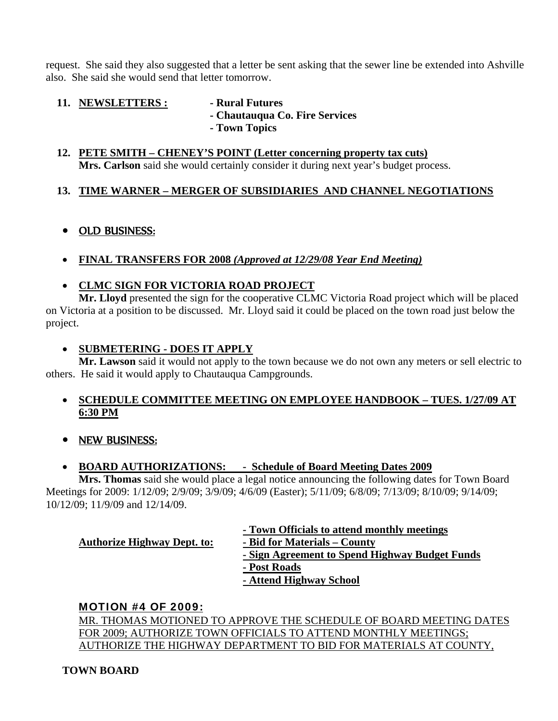request. She said they also suggested that a letter be sent asking that the sewer line be extended into Ashville also. She said she would send that letter tomorrow.

- **11. NEWSLETTERS :** Rural Futures
	-
	- **Chautauqua Co. Fire Services**
	- **Town Topics**

#### **12. PETE SMITH – CHENEY'S POINT (Letter concerning property tax cuts) Mrs. Carlson** said she would certainly consider it during next year's budget process.

# **13. TIME WARNER – MERGER OF SUBSIDIARIES AND CHANNEL NEGOTIATIONS**

# OLD BUSINESS:

**FINAL TRANSFERS FOR 2008** *(Approved at 12/29/08 Year End Meeting)*

# **CLMC SIGN FOR VICTORIA ROAD PROJECT**

**Mr. Lloyd** presented the sign for the cooperative CLMC Victoria Road project which will be placed on Victoria at a position to be discussed. Mr. Lloyd said it could be placed on the town road just below the project.

# **SUBMETERING - DOES IT APPLY**

 **Mr. Lawson** said it would not apply to the town because we do not own any meters or sell electric to others. He said it would apply to Chautauqua Campgrounds.

## **SCHEDULE COMMITTEE MEETING ON EMPLOYEE HANDBOOK – TUES. 1/27/09 AT 6:30 PM**

• NEW BUSINESS:

# **BOARD AUTHORIZATIONS: - Schedule of Board Meeting Dates 2009**

 **Mrs. Thomas** said she would place a legal notice announcing the following dates for Town Board Meetings for 2009: 1/12/09; 2/9/09; 3/9/09; 4/6/09 (Easter); 5/11/09; 6/8/09; 7/13/09; 8/10/09; 9/14/09; 10/12/09; 11/9/09 and 12/14/09.

# **- Town Officials to attend monthly meetings**

 **Authorize Highway Dept. to: - Bid for Materials – County**

 **- Sign Agreement to Spend Highway Budget Funds - Post Roads**

- 
- **Attend Highway School**

# MOTION #4 OF 2009:

MR. THOMAS MOTIONED TO APPROVE THE SCHEDULE OF BOARD MEETING DATES FOR 2009; AUTHORIZE TOWN OFFICIALS TO ATTEND MONTHLY MEETINGS; AUTHORIZE THE HIGHWAY DEPARTMENT TO BID FOR MATERIALS AT COUNTY,

# **TOWN BOARD**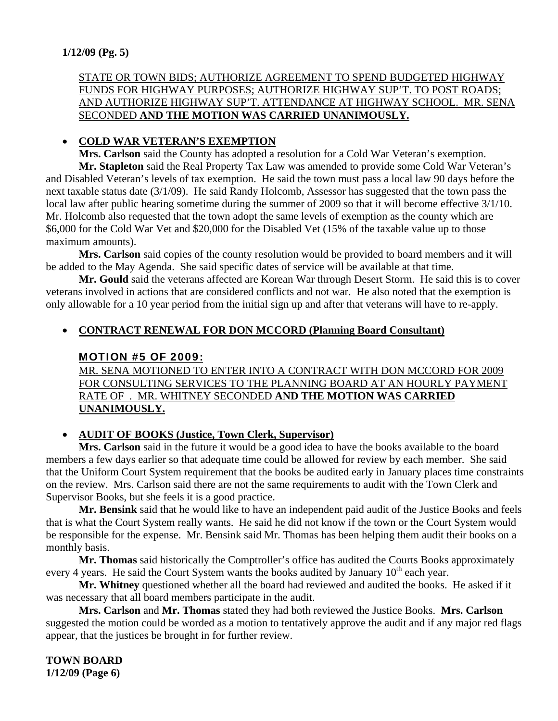## **1/12/09 (Pg. 5)**

### STATE OR TOWN BIDS; AUTHORIZE AGREEMENT TO SPEND BUDGETED HIGHWAY FUNDS FOR HIGHWAY PURPOSES; AUTHORIZE HIGHWAY SUP'T. TO POST ROADS; AND AUTHORIZE HIGHWAY SUP'T. ATTENDANCE AT HIGHWAY SCHOOL. MR. SENA SECONDED **AND THE MOTION WAS CARRIED UNANIMOUSLY.**

#### **COLD WAR VETERAN'S EXEMPTION**

 **Mrs. Carlson** said the County has adopted a resolution for a Cold War Veteran's exemption. **Mr. Stapleton** said the Real Property Tax Law was amended to provide some Cold War Veteran's and Disabled Veteran's levels of tax exemption. He said the town must pass a local law 90 days before the next taxable status date (3/1/09). He said Randy Holcomb, Assessor has suggested that the town pass the local law after public hearing sometime during the summer of 2009 so that it will become effective 3/1/10. Mr. Holcomb also requested that the town adopt the same levels of exemption as the county which are \$6,000 for the Cold War Vet and \$20,000 for the Disabled Vet (15% of the taxable value up to those maximum amounts).

**Mrs. Carlson** said copies of the county resolution would be provided to board members and it will be added to the May Agenda. She said specific dates of service will be available at that time.

**Mr. Gould** said the veterans affected are Korean War through Desert Storm. He said this is to cover veterans involved in actions that are considered conflicts and not war. He also noted that the exemption is only allowable for a 10 year period from the initial sign up and after that veterans will have to re-apply.

## **CONTRACT RENEWAL FOR DON MCCORD (Planning Board Consultant)**

#### MOTION #5 OF 2009:

MR. SENA MOTIONED TO ENTER INTO A CONTRACT WITH DON MCCORD FOR 2009 FOR CONSULTING SERVICES TO THE PLANNING BOARD AT AN HOURLY PAYMENT RATE OF . MR. WHITNEY SECONDED **AND THE MOTION WAS CARRIED UNANIMOUSLY.**

#### **AUDIT OF BOOKS (Justice, Town Clerk, Supervisor)**

 **Mrs. Carlson** said in the future it would be a good idea to have the books available to the board members a few days earlier so that adequate time could be allowed for review by each member. She said that the Uniform Court System requirement that the books be audited early in January places time constraints on the review. Mrs. Carlson said there are not the same requirements to audit with the Town Clerk and Supervisor Books, but she feels it is a good practice.

**Mr. Bensink** said that he would like to have an independent paid audit of the Justice Books and feels that is what the Court System really wants. He said he did not know if the town or the Court System would be responsible for the expense. Mr. Bensink said Mr. Thomas has been helping them audit their books on a monthly basis.

**Mr. Thomas** said historically the Comptroller's office has audited the Courts Books approximately every 4 years. He said the Court System wants the books audited by January  $10^{th}$  each year.

**Mr. Whitney** questioned whether all the board had reviewed and audited the books. He asked if it was necessary that all board members participate in the audit.

**Mrs. Carlson** and **Mr. Thomas** stated they had both reviewed the Justice Books. **Mrs. Carlson**  suggested the motion could be worded as a motion to tentatively approve the audit and if any major red flags appear, that the justices be brought in for further review.

**TOWN BOARD 1/12/09 (Page 6)**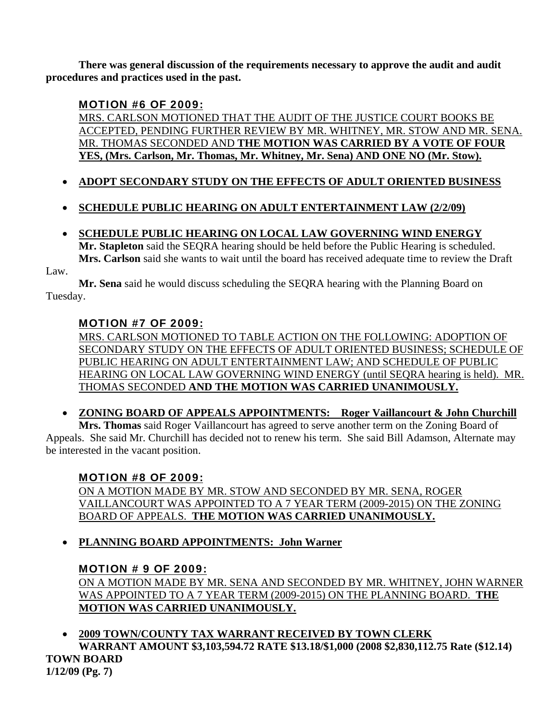**There was general discussion of the requirements necessary to approve the audit and audit procedures and practices used in the past.** 

# MOTION #6 OF 2009:

MRS. CARLSON MOTIONED THAT THE AUDIT OF THE JUSTICE COURT BOOKS BE ACCEPTED, PENDING FURTHER REVIEW BY MR. WHITNEY, MR. STOW AND MR. SENA. MR. THOMAS SECONDED AND **THE MOTION WAS CARRIED BY A VOTE OF FOUR YES, (Mrs. Carlson, Mr. Thomas, Mr. Whitney, Mr. Sena) AND ONE NO (Mr. Stow).**

- **ADOPT SECONDARY STUDY ON THE EFFECTS OF ADULT ORIENTED BUSINESS**
- **SCHEDULE PUBLIC HEARING ON ADULT ENTERTAINMENT LAW (2/2/09)**
- **SCHEDULE PUBLIC HEARING ON LOCAL LAW GOVERNING WIND ENERGY Mr. Stapleton** said the SEQRA hearing should be held before the Public Hearing is scheduled. **Mrs. Carlson** said she wants to wait until the board has received adequate time to review the Draft

Law.

**Mr. Sena** said he would discuss scheduling the SEQRA hearing with the Planning Board on Tuesday.

# MOTION #7 OF 2009:

MRS. CARLSON MOTIONED TO TABLE ACTION ON THE FOLLOWING: ADOPTION OF SECONDARY STUDY ON THE EFFECTS OF ADULT ORIENTED BUSINESS; SCHEDULE OF PUBLIC HEARING ON ADULT ENTERTAINMENT LAW; AND SCHEDULE OF PUBLIC HEARING ON LOCAL LAW GOVERNING WIND ENERGY (until SEQRA hearing is held). MR. THOMAS SECONDED **AND THE MOTION WAS CARRIED UNANIMOUSLY.**

**ZONING BOARD OF APPEALS APPOINTMENTS: Roger Vaillancourt & John Churchill**

 **Mrs. Thomas** said Roger Vaillancourt has agreed to serve another term on the Zoning Board of Appeals. She said Mr. Churchill has decided not to renew his term. She said Bill Adamson, Alternate may be interested in the vacant position.

# MOTION #8 OF 2009:

ON A MOTION MADE BY MR. STOW AND SECONDED BY MR. SENA, ROGER VAILLANCOURT WAS APPOINTED TO A 7 YEAR TERM (2009-2015) ON THE ZONING BOARD OF APPEALS. **THE MOTION WAS CARRIED UNANIMOUSLY.**

**PLANNING BOARD APPOINTMENTS: John Warner**

# MOTION # 9 OF 2009:

ON A MOTION MADE BY MR. SENA AND SECONDED BY MR. WHITNEY, JOHN WARNER WAS APPOINTED TO A 7 YEAR TERM (2009-2015) ON THE PLANNING BOARD. **THE MOTION WAS CARRIED UNANIMOUSLY.**

 **2009 TOWN/COUNTY TAX WARRANT RECEIVED BY TOWN CLERK WARRANT AMOUNT \$3,103,594.72 RATE \$13.18/\$1,000 (2008 \$2,830,112.75 Rate (\$12.14) TOWN BOARD 1/12/09 (Pg. 7)**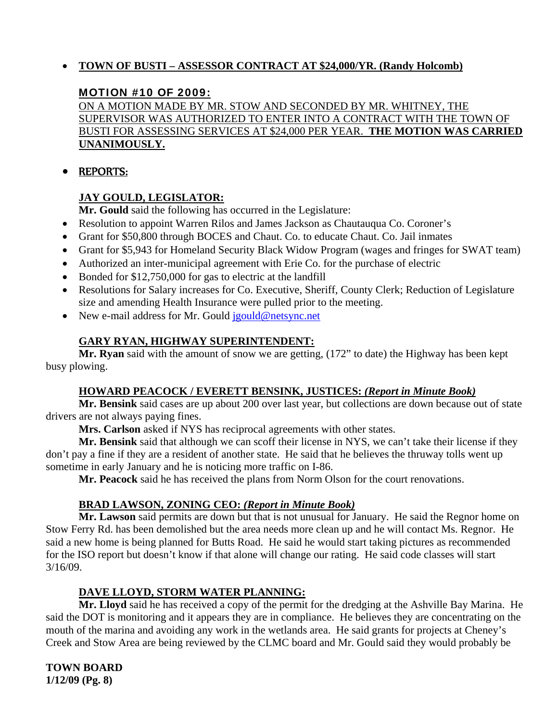## **TOWN OF BUSTI – ASSESSOR CONTRACT AT \$24,000/YR. (Randy Holcomb)**

## MOTION #10 OF 2009:

ON A MOTION MADE BY MR. STOW AND SECONDED BY MR. WHITNEY, THE SUPERVISOR WAS AUTHORIZED TO ENTER INTO A CONTRACT WITH THE TOWN OF BUSTI FOR ASSESSING SERVICES AT \$24,000 PER YEAR. **THE MOTION WAS CARRIED UNANIMOUSLY.**

## REPORTS:

## **JAY GOULD, LEGISLATOR:**

 **Mr. Gould** said the following has occurred in the Legislature:

- Resolution to appoint Warren Rilos and James Jackson as Chautauqua Co. Coroner's
- Grant for \$50,800 through BOCES and Chaut. Co. to educate Chaut. Co. Jail inmates
- Grant for \$5,943 for Homeland Security Black Widow Program (wages and fringes for SWAT team)
- Authorized an inter-municipal agreement with Erie Co. for the purchase of electric
- Bonded for \$12,750,000 for gas to electric at the landfill
- Resolutions for Salary increases for Co. Executive, Sheriff, County Clerk; Reduction of Legislature size and amending Health Insurance were pulled prior to the meeting.
- New e-mail address for Mr. Gould jgould@netsync.net

## **GARY RYAN, HIGHWAY SUPERINTENDENT:**

 **Mr. Ryan** said with the amount of snow we are getting, (172" to date) the Highway has been kept busy plowing.

#### **HOWARD PEACOCK / EVERETT BENSINK, JUSTICES:** *(Report in Minute Book)*

 **Mr. Bensink** said cases are up about 200 over last year, but collections are down because out of state drivers are not always paying fines.

**Mrs. Carlson** asked if NYS has reciprocal agreements with other states.

**Mr. Bensink** said that although we can scoff their license in NYS, we can't take their license if they don't pay a fine if they are a resident of another state. He said that he believes the thruway tolls went up sometime in early January and he is noticing more traffic on I-86.

**Mr. Peacock** said he has received the plans from Norm Olson for the court renovations.

#### **BRAD LAWSON, ZONING CEO:** *(Report in Minute Book)*

 **Mr. Lawson** said permits are down but that is not unusual for January. He said the Regnor home on Stow Ferry Rd. has been demolished but the area needs more clean up and he will contact Ms. Regnor. He said a new home is being planned for Butts Road. He said he would start taking pictures as recommended for the ISO report but doesn't know if that alone will change our rating. He said code classes will start 3/16/09.

## **DAVE LLOYD, STORM WATER PLANNING:**

 **Mr. Lloyd** said he has received a copy of the permit for the dredging at the Ashville Bay Marina. He said the DOT is monitoring and it appears they are in compliance. He believes they are concentrating on the mouth of the marina and avoiding any work in the wetlands area. He said grants for projects at Cheney's Creek and Stow Area are being reviewed by the CLMC board and Mr. Gould said they would probably be

**TOWN BOARD 1/12/09 (Pg. 8)**